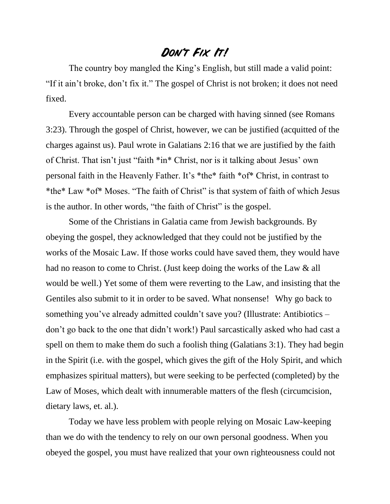## **Don't Fix It!**

The country boy mangled the King's English, but still made a valid point: "If it ain't broke, don't fix it." The gospel of Christ is not broken; it does not need fixed.

Every accountable person can be charged with having sinned (see Romans 3:23). Through the gospel of Christ, however, we can be justified (acquitted of the charges against us). Paul wrote in Galatians 2:16 that we are justified by the faith of Christ. That isn't just "faith \*in\* Christ, nor is it talking about Jesus' own personal faith in the Heavenly Father. It's \*the\* faith \*of\* Christ, in contrast to \*the\* Law \*of\* Moses. "The faith of Christ" is that system of faith of which Jesus is the author. In other words, "the faith of Christ" is the gospel.

Some of the Christians in Galatia came from Jewish backgrounds. By obeying the gospel, they acknowledged that they could not be justified by the works of the Mosaic Law. If those works could have saved them, they would have had no reason to come to Christ. (Just keep doing the works of the Law & all would be well.) Yet some of them were reverting to the Law, and insisting that the Gentiles also submit to it in order to be saved. What nonsense! Why go back to something you've already admitted couldn't save you? (Illustrate: Antibiotics – don't go back to the one that didn't work!) Paul sarcastically asked who had cast a spell on them to make them do such a foolish thing (Galatians 3:1). They had begin in the Spirit (i.e. with the gospel, which gives the gift of the Holy Spirit, and which emphasizes spiritual matters), but were seeking to be perfected (completed) by the Law of Moses, which dealt with innumerable matters of the flesh (circumcision, dietary laws, et. al.).

Today we have less problem with people relying on Mosaic Law-keeping than we do with the tendency to rely on our own personal goodness. When you obeyed the gospel, you must have realized that your own righteousness could not